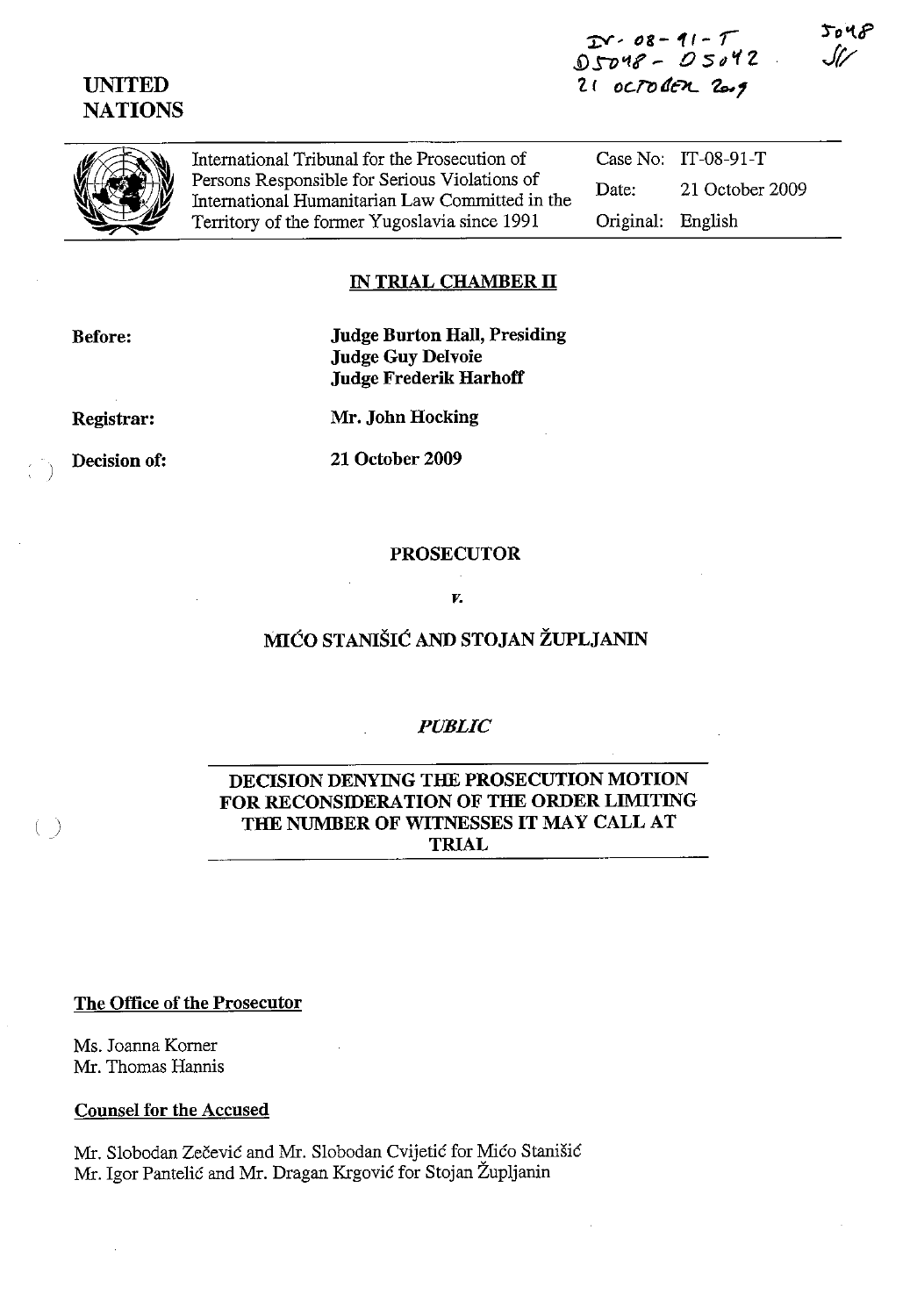$2Y - 08 - 11 - T$  $05048 - 05042$  $21$  octoden  $20.9$ 

 $5048$ . Stz



UNITED **NATIONS** 

> International Tribunal for the Prosecution of Persons Responsible for Serious Violations of International Humanitarian Law Committed in the Territory of the former Yugoslavia since 1991

Case No: IT-08-91-T Date: 21 October 2009 Original: English

#### IN TRIAL CHAMBER **II**

Before:

Judge Burton Hall, Presiding Judge Guy Delvoie Judge Frederik Harhoff

Registrar:

Mr. John Hocking

Decision of:

 $\left( \begin{array}{c} \end{array} \right)$ 

21 October 2009

#### PROSECUTOR

*v.* 

## MICO STANISIC AND STOJAN ZUPLJANIN

#### *PUBLIC*

### DECISION DENYING THE PROSECUTION MOTION FOR RECONSIDERATION OF THE ORDER LIMITING THE NUMBER OF WITNESSES **IT** MAY CALL AT TRIAL

The Office of the Prosecutor

Ms. Joanna Komer Mr. Thomas Hannis

Counsel for the Accused

Mr. Slobodan Zecevic and Mr. Slobodan Cvijetic for Mico Stanisic Mr. Igor Pantelic and Mr. Dragan Krgovic for Stojan Zupljanin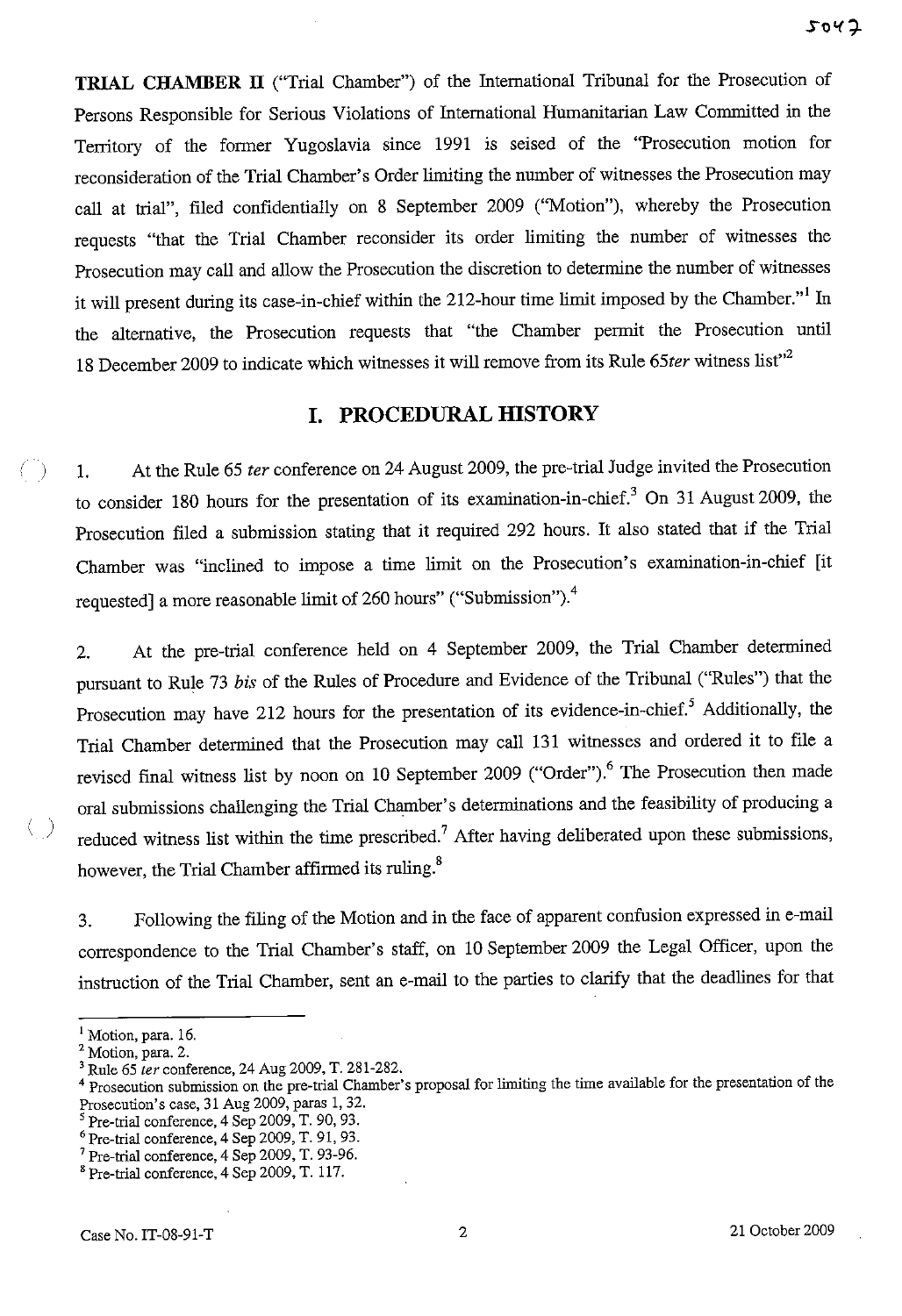**TRIAL CHAMBER IT** ("Trial Chamber") of the International Tribunal for the Prosecution of Persons Responsible for Serious Violations of International Humanitarian Law Committed in the Territory of the former Yugoslavia since 1991 is seised of the "Prosecution motion for reconsideration of the Trial Chamber's Order limiting the number of witnesses the Prosecution may call at trial", filed confidentially on 8 September 2009 ("Motion"), whereby the Prosecution requests "that the Trial Chamber reconsider its order limiting the number of witnesses the Prosecution may call and allow the Prosecution the discretion to determine the number of witnesses it will present during its case-in-chief within the 212-hour time limit imposed by the Chamber."<sup>1</sup> In the alternative, the Prosecution requests that "the Chamber permit the Prosecution until 18 December 2009 to indicate which witnesses it will remove from its Rule 65ter witness list"<sup>2</sup>

## **I. PROCEDURAL HISTORY**

1. At the Rule 65 *ter* conference on 24 August 2009, the pre-trial Judge invited the Prosecution to consider 180 hours for the presentation of its examination-in-chief.3 On 31 August 2009, the Prosecution filed a submission stating that it required 292 hours. It also stated that if the Trial Chamber was "inclined to impose a time limit on the Prosecution's examination-in-chief [it requested] a more reasonable limit of 260 hours" ("Submission").<sup>4</sup>

2. At the pre-trial conference held on 4 September 2009, the Trial Chamber determined pursuant to Rule 73 *bis* of the Rules of Procedure and Evidence of the Tribunal ("Rules") that the Prosecution may have 212 hours for the presentation of its evidence-in-chief.<sup>5</sup> Additionally, the Trial Chamber determined that the Prosecution may call 131 witnesses and ordered it to file a revised final witness list by noon on 10 September 2009 ("Order").<sup>6</sup> The Prosecution then made oral submissions challenging the Trial Chamber's determinations and the feasibility of producing a reduced witness list within the time prescribed.<sup>7</sup> After having deliberated upon these submissions, however, the Trial Chamber affirmed its ruling.<sup>8</sup>

3. Following the filing of the Motion and in the face of apparent confusion expressed in e-mail correspondence to the Trial Chamber's staff, on 10 September 2009 the Legal Officer, upon the instruction of the Trial Chamber, sent an e-mail to the parties to clarify that the deadlines for that

 $\left(\begin{array}{c} \end{array}\right)$ 

 $\left( \begin{array}{c} \end{array} \right)$ 

<sup>&</sup>lt;sup>1</sup> Motion, para. 16.

<sup>&</sup>lt;sup>2</sup> Motion, para. 2.

<sup>3</sup> Rule 65 *ter* conference, 24 Aug 2009, T. 281·282.

<sup>&</sup>lt;sup>4</sup> Prosecution submission on the pre-trial Chamber's proposal for limiting the time available for the presentation of the Prosecution's case, 31 Aug 2009, paras 1, 32.

Pre-trial conference, 4 Sep 2009, T. 90, 93.

<sup>6</sup> Pre-trial conference, 4 Sep 2009, T. 91, 93.

<sup>7</sup> Pre-trial conference, 4 Sep 2009, T. 93-96.

<sup>8</sup> Pre-trial conference, 4 Sep 2009, T. 117.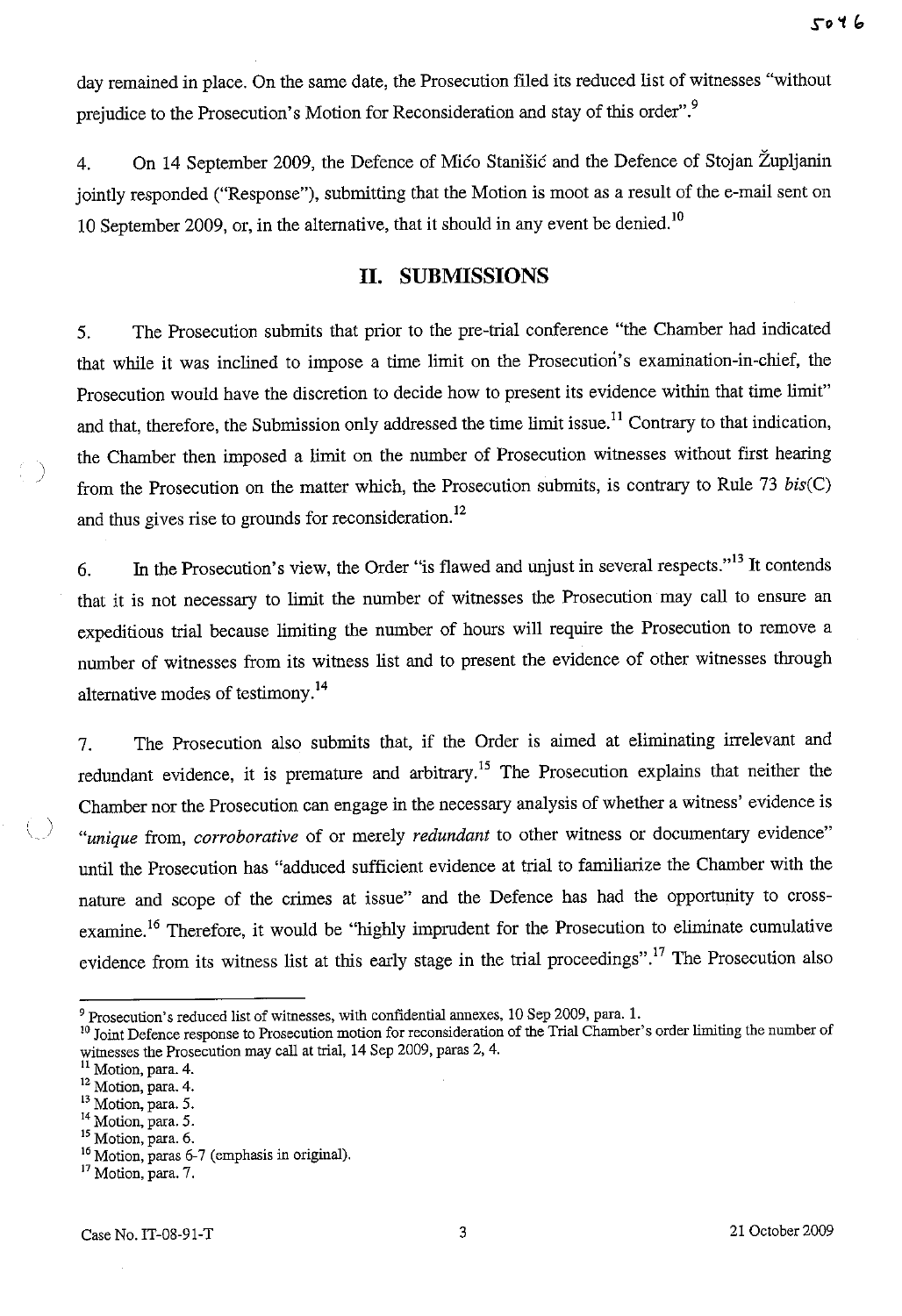day remained in place. On the same date, the Prosecution filed its reduced list of witnesses "without prejudice to the Prosecution's Motion for Reconsideration and stay of this order". 9

4. On 14 September 2009, the Defence of Mico Stanišic and the Defence of Stojan Župljanin jointly responded ("Response"), submitting that the Motion is moot as a result of the e-mail sent on 10 September 2009, or, in the alternative, that it should in any event be denied.<sup>10</sup>

#### **II. SUBMISSIONS**

5. The Prosecution submits that prior to the pre-trial conference "the Chamber had indicated that while it was inclined to impose a time limit on the Prosecution's examination-in-chief, the Prosecution would have the discretion to decide how to present its evidence within that time limit" and that, therefore, the Submission only addressed the time limit issue.<sup>11</sup> Contrary to that indication, the Chamber then imposed a limit on the number of Prosecution witnesses without first hearing from the Prosecution on the matter which, the Prosecution submits, is contrary to Rule 73 *bis(C)*  and thus gives rise to grounds for reconsideration. 12

6. In the Prosecution's view, the Order "is flawed and unjust in several respects."<sup>13</sup> It contends that it is not necessary to limit the number of witnesses the Prosecution may call to ensure an expeditious trial because limiting the number of hours will require the Prosecution to remove a number of witnesses from its witness list and to present the evidence of other witnesses through alternative modes of testimony.<sup>14</sup>

7. The Prosecution also submits that, if the Order is aimed at eliminating irrelevant and redundant evidence, it is premature and arbitrary.<sup>15</sup> The Prosecution explains that neither the Chamber nor the Prosecution can engage in the necessary analysis of whether a witness' evidence is *"unique* from, *corroborative* of or merely *redundant* to other witness or documentary evidence" until the Prosecution has "adduced sufficient evidence at trial to familiarize the Chamber with the nature and scope of the crimes at issue" and the Defence has had the opportunity to crossexamine.<sup>16</sup> Therefore, it would be "highly imprudent for the Prosecution to eliminate cumulative evidence from its witness list at this early stage in the trial proceedings".<sup>17</sup> The Prosecution also

<sup>9</sup> Prosecution's reduced list of witnesses, with confidential annexes, 10 Sep 2009, para. l.

<sup>&</sup>lt;sup>10</sup> Joint Defence response to Prosecution motion for reconsideration of the Trial Chamber's order limiting the number of witnesses the Prosecution may call at trial, 14 Sep 2009, paras 2, 4.<br><sup>11</sup> Motion, para. 4.

<sup>12</sup> Motion, para. 4.

<sup>13</sup> Motion, para. 5.

 $14$  Motion, para. 5.<br> $15$  Motion, para. 6.

<sup>&</sup>lt;sup>16</sup> Motion, paras 6-7 (emphasis in original).

<sup>&</sup>lt;sup>17</sup> Motion, para. 7.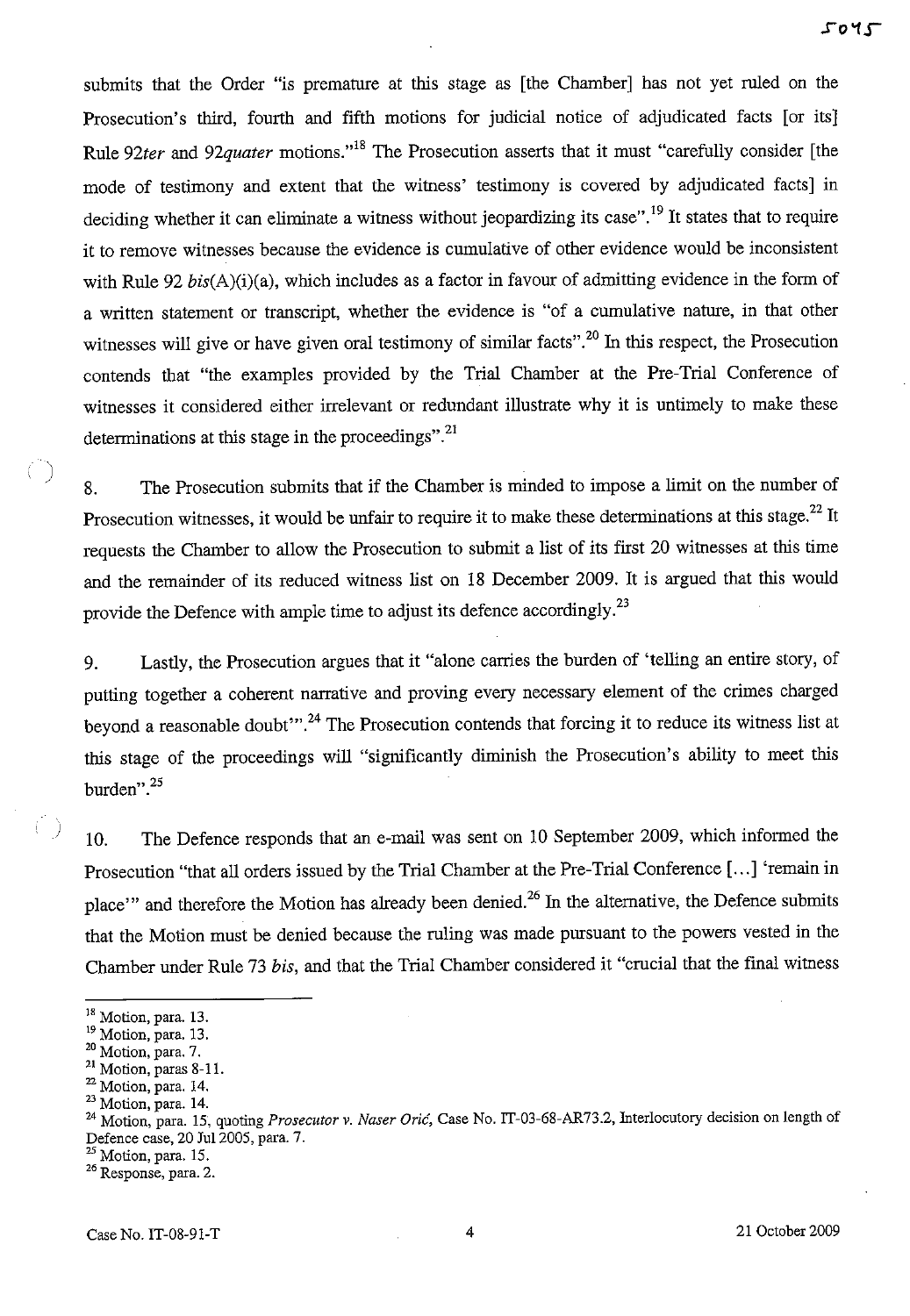submits that the Order "is premature at this stage as [the Chamber] has not yet ruled on the Prosecution's third, fourth and fifth motions for judicial notice of adjudicated facts [or its] Rule 92ter and 92quater motions."<sup>18</sup> The Prosecution asserts that it must "carefully consider [the mode of testimony and extent that the witness' testimony is covered by adjudicated facts] in deciding whether it can eliminate a witness without jeopardizing its case".<sup>19</sup> It states that to require it to remove witnesses because the evidence is cumulative of other evidence would be inconsistent with Rule 92 bis(A)(i)(a), which includes as a factor in favour of admitting evidence in the form of a written statement or transcript, whether the evidence is "of a cumulative nature, in that other witnesses will give or have given oral testimony of similar facts".<sup>20</sup> In this respect, the Prosecution contends that "the examples provided by the Trial Chamber at the Pre-Trial Conference of witnesses it considered either irrelevant or redundant illustrate why it is untimely to make these determinations at this stage in the proceedings". $^{21}$ 

8. The Prosecution submits that if the Chamber is minded to impose a limit on the number of Prosecution witnesses, it would be unfair to require it to make these determinations at this stage.<sup>22</sup> It requests the Chamber to allow the Prosecution to submit a list of its first 20 witnesses at this time and the remainder of its reduced witness list on 18 December 2009. It is argued that this would provide the Defence with ample time to adjust its defence accordingly.<sup>23</sup>

9. Lastly, the Prosecution argues that it "alone carries the burden of 'telling an entire story, of putting together a coherent narrative and proving every necessary element of the crimes charged beyond a reasonable doubt"<sup>24</sup>. The Prosecution contends that forcing it to reduce its witness list at this stage of the proceedings will "significantly diminish the Prosecution's ability to meet this burden".25

10. The Defence responds that an e-mail was sent on 10 September 2009, which informed the Prosecution "that all orders issued by the Trial Chamber at the Pre-Trial Conference [ ... ] 'remain in place'" and therefore the Motion has already been denied.<sup>26</sup> In the alternative, the Defence submits that the Motion must be denied because the ruling was made pursuant to the powers vested in the Chamber under Rule 73 *bis,* and that the Trial Chamber considered it "crucial that the final witness

 $\left( \right)$ 

)

<sup>&</sup>lt;sup>18</sup> Motion, para. 13.

 $19$  Motion, para. 13.<br> $20$  Motion, para. 7.

<sup>21</sup> Motion, paras 8-11.

<sup>22</sup> Motion, para. 14.

<sup>23</sup> Motion, para. 14.

<sup>24</sup> Motion, para. 15, quoting *Prosecutor v. Naser Oric,* Case No. IT-03-68-AR73.2, Interlocutory decision on length of Defence case, 20 Ju12005, para. 7.

<sup>&</sup>lt;sup>25</sup> Motion, para. 15.

**<sup>26</sup> Response, para. 2.**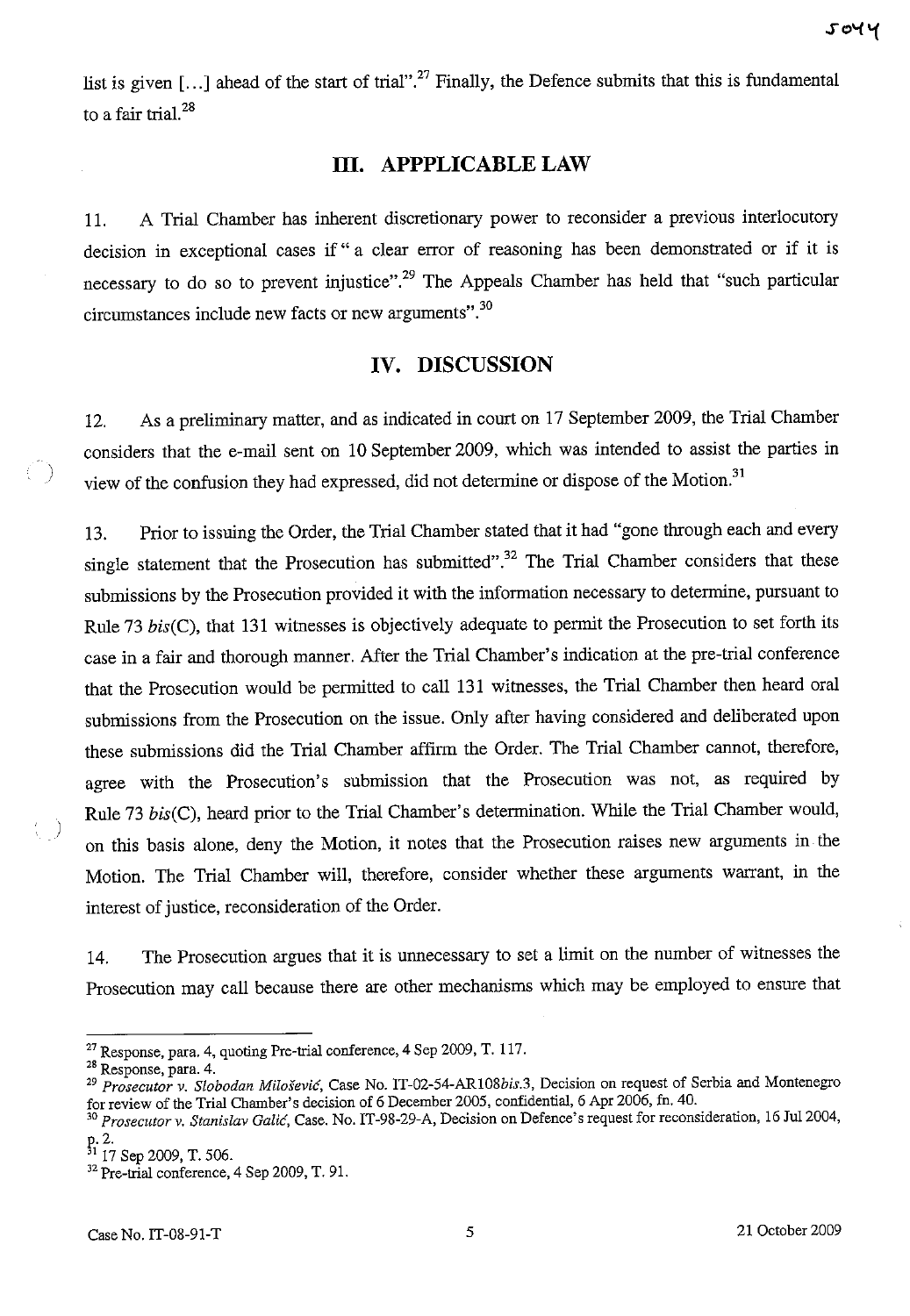list is given  $[...]$  ahead of the start of trial".<sup>27</sup> Finally, the Defence submits that this is fundamental to a fair trial. $^{28}$ 

### **Ill. APPPLICABLE LAW**

11. A Trial Chamber has inherent discretionary power to reconsider a previous interlocutory decision in exceptional cases if" a clear error of reasoning has been demonstrated or if it is necessary to do so to prevent injustice".<sup>29</sup> The Appeals Chamber has held that "such particular circumstances include new facts or new arguments". 30

#### **IV. DISCUSSION**

12. As a preliminary matter, and as indicated in court on 17 September 2009, the Trial Chamber considers that the e-mail sent on 10 September 2009, which was intended to assist the parties in view of the confusion they had expressed, did not determine or dispose of the Motion.<sup>31</sup>

13. Prior to issuing the Order, the Trial Chamber stated that it had "gone through each and every single statement that the Prosecution has submitted".<sup>32</sup> The Trial Chamber considers that these submissions by the Prosecution provided it with the information necessary to determine, pursuant to Rule 73  $bis(C)$ , that 131 witnesses is objectively adequate to permit the Prosecution to set forth its case in a fair and thorough manner. After the Trial Chamber's indication at the pre-trial conference that the Prosecution would be permitted to call 131 witnesses, the Trial Chamber then heard oral submissions from the Prosecution on the issue. Only after having considered and deliberated upon these submissions did the Trial Chamber affirm the Order. The Trial Chamber cannot, therefore, agree with the Prosecution's submission that the Prosecution was not, as required by Rule 73 bis(C), heard prior to the Trial Chamber's determination. While the Trial Chamber would, on this basis alone, deny the Motion, it notes that the Prosecution raises new arguments in the Motion. The Trial Chamber will, therefore, consider whether these arguments warrant, in the interest of justice, reconsideration of the Order.

14. The Prosecution argues that it is unnecessary to set a limit on the number of witnesses the Prosecution may call because there are other mechanisms which may be employed to ensure that

)

)

<sup>27</sup> Response, para. 4, quoting Pre-trial conference, 4 Sep 2009, T. 117.

<sup>28</sup> Response, para. 4.

*<sup>29</sup> Prosecutor* v. *Slobodan Milosevic,* Case No. *IT-02-54-AR108bis.3,* Decision on request of Serbia and Montenegro for review of the Trial Chamber's decision of 6 December 2005, confidential, 6 Apr 2006, fn. 40.

*<sup>30</sup> Prosecutor* v. *Stanislav Galic,* Case. No. IT-98-29-A, Decision on Defence's request for reconsideration, 16 Ju12004,

p. 2.<br><sup>31</sup> 17 Sep 2009, T. 506.

<sup>&</sup>lt;sup>32</sup> Pre-trial conference, 4 Sep 2009, T. 91.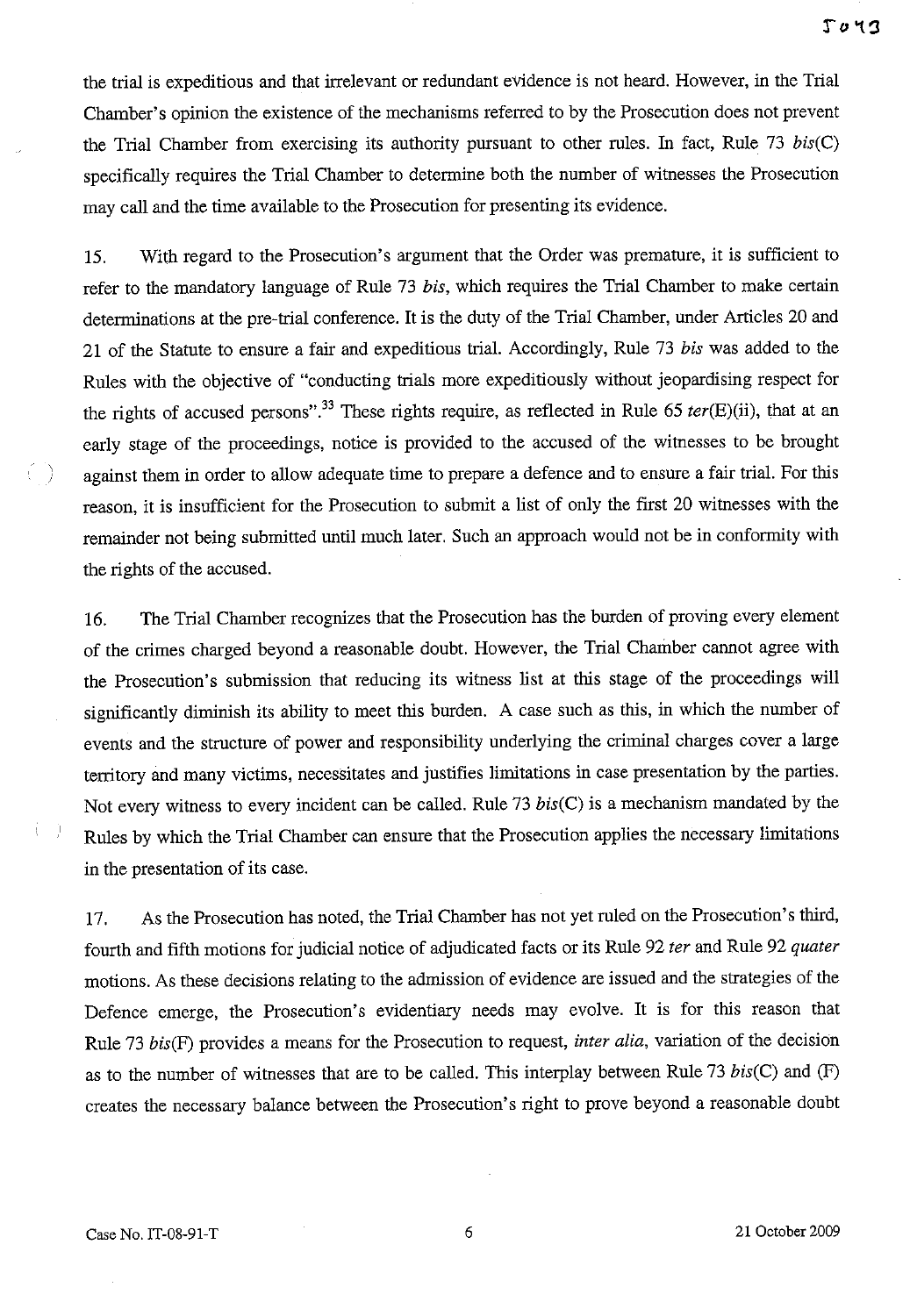the trial is expeditious and that irrelevant or redundant evidence is not heard. However, in the Trial Chamber's opinion the existence of the mechanisms referred to by the Prosecution does not prevent the Trial Chamber from exercising its authority pursuant to other rules. In fact, Rule 73 *bis(C)*  specifically requires the Trial Chamber to determine both the number of witnesses the Prosecution may call and the time available to the Prosecution for presenting its evidence.

15. With regard to the Prosecution's argument that the Order was premature, it is sufficient to refer to the mandatory language of Rule 73 *bis,* which requires the Trial Chamber to make certain detenninations at the pre-trial conference. It is the duty of the Trial Chamber, under Articles 20 and 21 of the Statute to ensure a fair and expeditious trial. Accordingly, Rule 73 *bis* was added to the Rules with the objective of "conducting trials more expeditiously without jeopardising respect for the rights of accused persons".33 These rights require, as reflected in Rule 65 *ter(E)(ii),* that at an early stage of the proceedings, notice is provided to the accused of the witnesses to be brought against them in order to allow adequate time to prepare a defence and to ensure a fair trial. For this reason, it is insufficient for the Prosecution to submit a list of only the first 20 witnesses with the remainder not being submitted until much later. Such an approach would not be in conformity with the rights of the accused.

16. The Trial Chamber recognizes that the Prosecution has the burden of proving every element of the crimes charged beyond a reasonable doubt. However, the Trial Chamber cannot agree with the Prosecution's submission that reducing its witness list at this stage of the proceedings will significantly diminish its ability to meet this burden. A case such as this, in which the number of events and the structure of power and responsibility underlying the criminal charges cover a large territory and many victims, necessitates and justifies limitations in case presentation by the parties. Not every witness to every incident can be called. Rule 73 *bis(C)* is a mechanism mandated by the Rules by which the Trial Chamber can ensure that the Prosecution applies the necessary limitations in the presentation of its case.

17. As the Prosecution has noted, the Trial Chamber has not yet ruled on the Prosecution's third, fourth and fifth motions for judicial notice of adjudicated facts or its Rule 92 *ter* and Rule 92 *quater*  motions. As these decisions relating to the admission of evidence are issued and the strategies of the Defence emerge, the Prosecution's evidentiary needs may evolve. It is for this reason that Rule 73 *bis(F)* provides a means for the Prosecution to request, *inter alia,* variation of the decision as to the number of witnesses that are to be called. This interplay between Rule 73 *bis(C)* and (F) creates the necessary balance between the Prosecution's right to prove beyond a reasonable doubt

 $\left(\begin{array}{c} \end{array}\right)$ 

ίJ